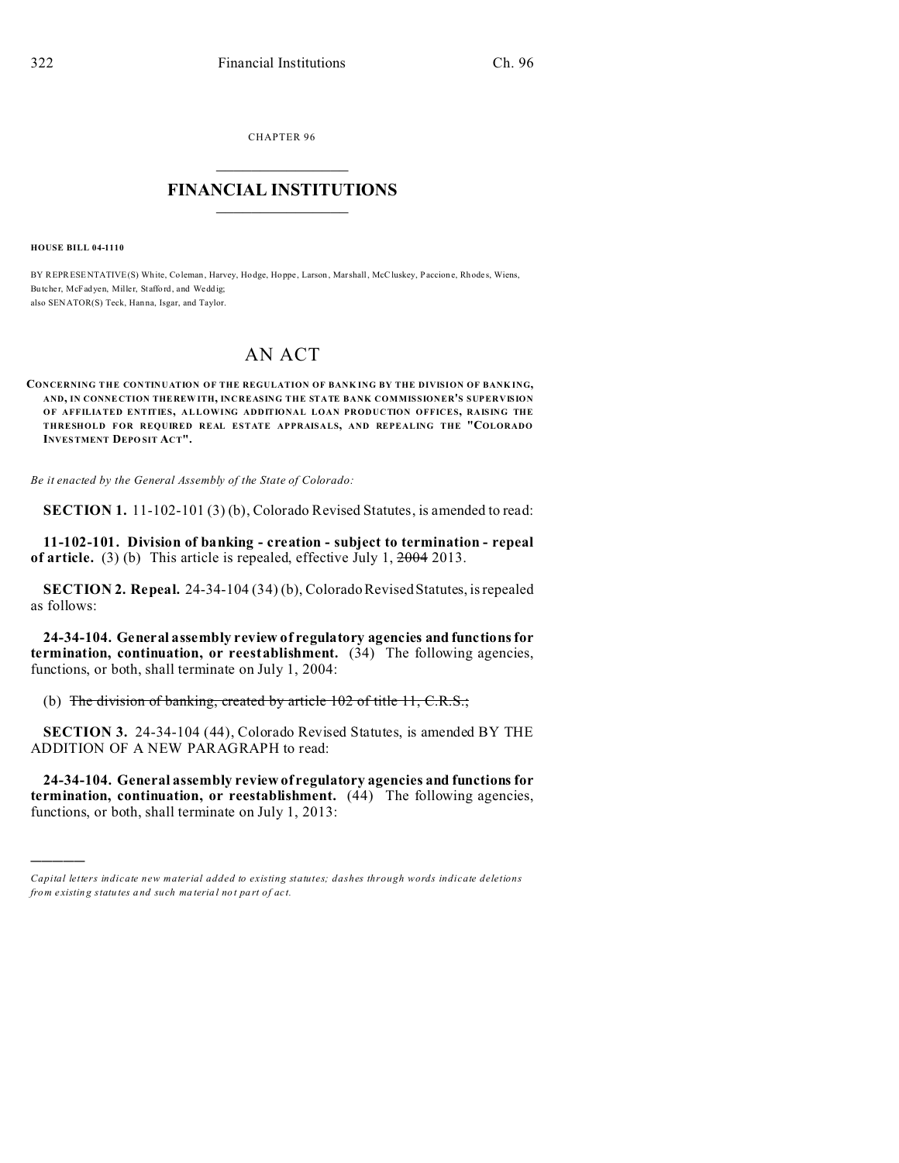CHAPTER 96

## **FINANCIAL INSTITUTIONS**

**HOUSE BILL 04-1110** 

BY REPRESENTATIVE(S) White, Coleman, Harvey, Hodge, Hoppe, Larson, Marshall, McCluskey, Paccione, Rhodes, Wiens, Butcher, McFadven, Miller, Stafford, and Weddig: also SENATOR(S) Teck, Hanna, Isgar, and Taylor.

## AN ACT

CONCERNING THE CONTINUATION OF THE REGULATION OF BANKING BY THE DIVISION OF BANKING, AND, IN CONNECTION THEREWITH, INCREASING THE STATE BANK COMMISSIONER'S SUPERVISION OF AFFILIATED ENTITIES, ALLOWING ADDITIONAL LOAN PRODUCTION OFFICES, RAISING THE THRESHOLD FOR REQUIRED REAL ESTATE APPRAISALS, AND REPEALING THE "COLORADO **INVESTMENT DEPOSIT ACT".** 

Be it enacted by the General Assembly of the State of Colorado:

**SECTION 1.** 11-102-101 (3) (b), Colorado Revised Statures, is amended to read:

11-102-101. Division of banking - creation - subject to termination - repeal of article. (3) (b) This article is repealed, effective July 1,  $\frac{2004}{2013}$ .

SECTION 2. Repeal. 24-34-104 (34) (b), Colorado Revised Statutes, is repealed as follows:

24-34-104. General assembly review of regulatory agencies and functions for termination, continuation, or reestablishment.  $(34)$  The following agencies, functions, or both, shall terminate on July 1, 2004:

(b) The division of banking, created by article 102 of title 11, C.R.S.;

**SECTION 3.** 24-34-104 (44), Colorado Revised Statutes, is amended BY THE ADDITION OF A NEW PARAGRAPH to read:

24-34-104. General assembly review of regulatory agencies and functions for termination, continuation, or reestablishment. (44) The following agencies, functions, or both, shall terminate on July 1, 2013:

Capital letters indicate new material added to existing statutes; dashes through words indicate deletions from existing statutes and such material not part of act.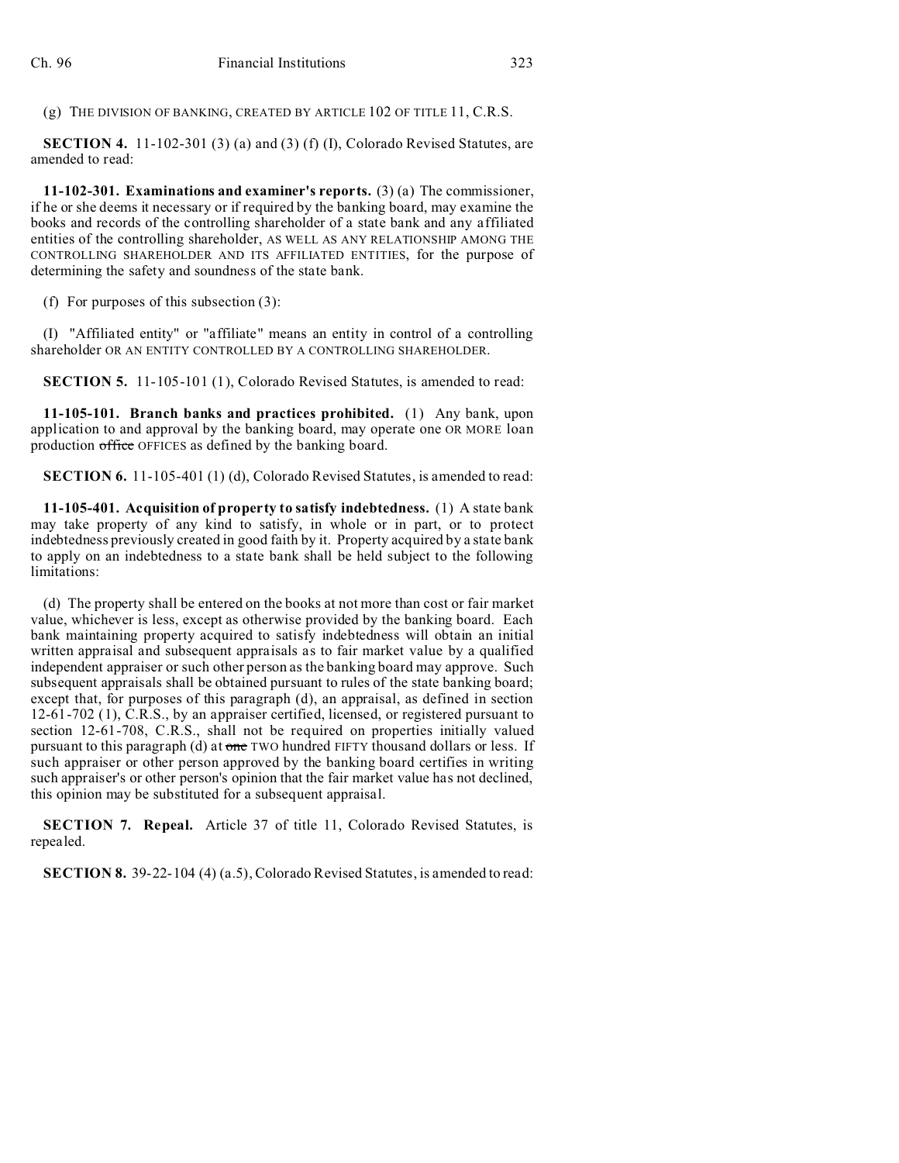(g) THE DIVISION OF BANKING, CREATED BY ARTICLE 102 OF TITLE 11, C.R.S.

**SECTION 4.** 11-102-301 (3) (a) and (3) (f) (I), Colorado Revised Statutes, are amended to read:

**11-102-301. Examinations and examiner's reports.** (3) (a) The commissioner, if he or she deems it necessary or if required by the banking board, may examine the books and records of the controlling shareholder of a state bank and any affiliated entities of the controlling shareholder, AS WELL AS ANY RELATIONSHIP AMONG THE CONTROLLING SHAREHOLDER AND ITS AFFILIATED ENTITIES, for the purpose of determining the safety and soundness of the state bank.

(f) For purposes of this subsection (3):

(I) "Affiliated entity" or "affiliate" means an entity in control of a controlling shareholder OR AN ENTITY CONTROLLED BY A CONTROLLING SHAREHOLDER.

**SECTION 5.** 11-105-101 (1), Colorado Revised Statutes, is amended to read:

**11-105-101. Branch banks and practices prohibited.** (1) Any bank, upon application to and approval by the banking board, may operate one OR MORE loan production office OFFICES as defined by the banking board.

**SECTION 6.** 11-105-401 (1) (d), Colorado Revised Statutes, is amended to read:

**11-105-401. Acquisition of property to satisfy indebtedness.** (1) A state bank may take property of any kind to satisfy, in whole or in part, or to protect indebtedness previously created in good faith by it. Property acquired by a state bank to apply on an indebtedness to a state bank shall be held subject to the following limitations:

(d) The property shall be entered on the books at not more than cost or fair market value, whichever is less, except as otherwise provided by the banking board. Each bank maintaining property acquired to satisfy indebtedness will obtain an initial written appraisal and subsequent appraisals as to fair market value by a qualified independent appraiser or such other person as the banking board may approve. Such subsequent appraisals shall be obtained pursuant to rules of the state banking board; except that, for purposes of this paragraph (d), an appraisal, as defined in section 12-61-702 (1), C.R.S., by an appraiser certified, licensed, or registered pursuant to section 12-61-708, C.R.S., shall not be required on properties initially valued pursuant to this paragraph (d) at one TWO hundred FIFTY thousand dollars or less. If such appraiser or other person approved by the banking board certifies in writing such appraiser's or other person's opinion that the fair market value has not declined, this opinion may be substituted for a subsequent appraisal.

**SECTION 7. Repeal.** Article 37 of title 11, Colorado Revised Statutes, is repealed.

**SECTION 8.** 39-22-104 (4) (a.5), Colorado Revised Statutes, is amended to read: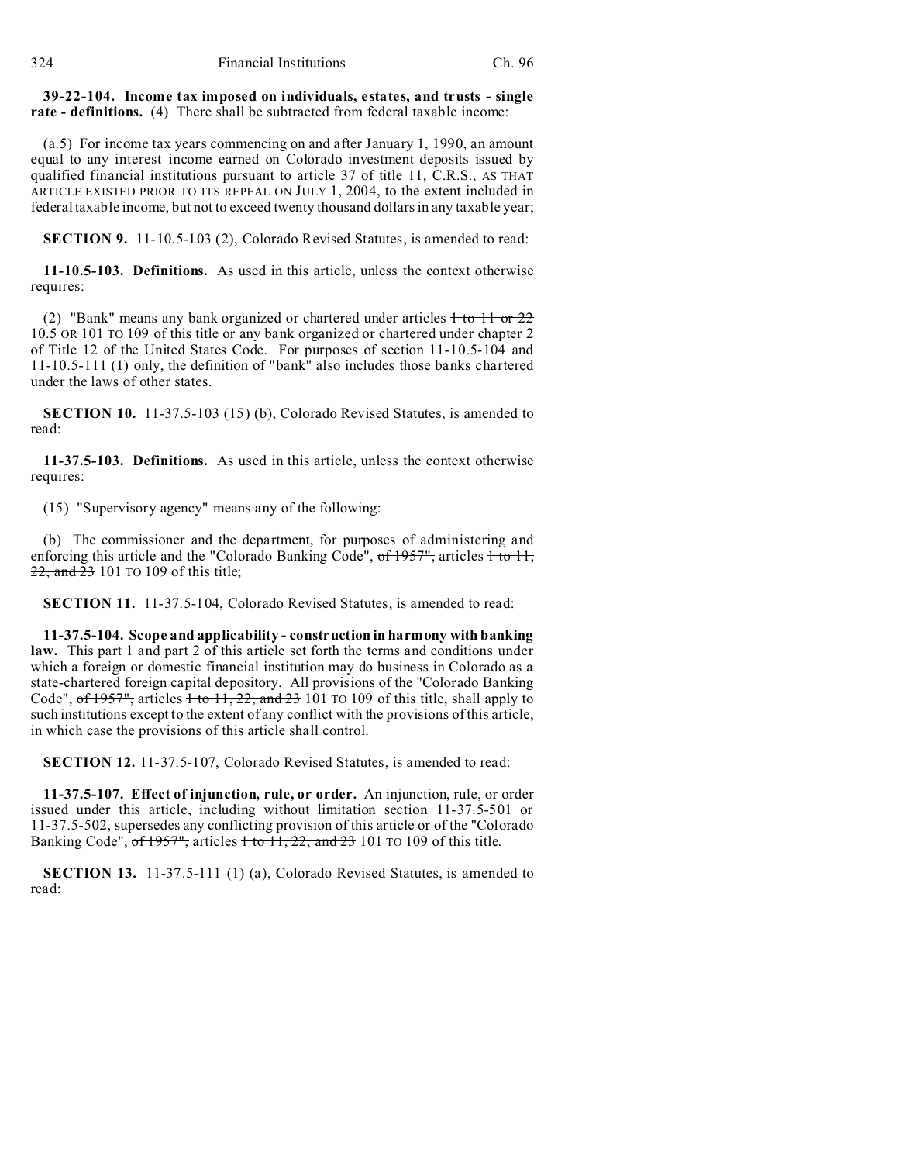## **39-22-104. Income tax imposed on individuals, estates, and trusts - single rate - definitions.** (4) There shall be subtracted from federal taxable income:

(a.5) For income tax years commencing on and after January 1, 1990, an amount equal to any interest income earned on Colorado investment deposits issued by qualified financial institutions pursuant to article 37 of title 11, C.R.S., AS THAT ARTICLE EXISTED PRIOR TO ITS REPEAL ON JULY 1, 2004, to the extent included in federal taxable income, but not to exceed twenty thousand dollars in any taxable year;

**SECTION 9.** 11-10.5-103 (2), Colorado Revised Statutes, is amended to read:

**11-10.5-103. Definitions.** As used in this article, unless the context otherwise requires:

(2) "Bank" means any bank organized or chartered under articles  $1$  to  $11$  or  $22$ 10.5 OR 101 TO 109 of this title or any bank organized or chartered under chapter 2 of Title 12 of the United States Code. For purposes of section 11-10.5-104 and 11-10.5-111 (1) only, the definition of "bank" also includes those banks chartered under the laws of other states.

**SECTION 10.** 11-37.5-103 (15) (b), Colorado Revised Statutes, is amended to read:

**11-37.5-103. Definitions.** As used in this article, unless the context otherwise requires:

(15) "Supervisory agency" means any of the following:

(b) The commissioner and the department, for purposes of administering and enforcing this article and the "Colorado Banking Code",  $of 1957"$ , articles  $+ to 11$ , 22, and 23 101 TO 109 of this title;

**SECTION 11.** 11-37.5-104, Colorado Revised Statutes, is amended to read:

**11-37.5-104. Scope and applicability - construction in harmony with banking law.** This part 1 and part 2 of this article set forth the terms and conditions under which a foreign or domestic financial institution may do business in Colorado as a state-chartered foreign capital depository. All provisions of the "Colorado Banking Code", of  $1957$ ", articles  $\overline{1}$  to  $11, 22,$  and  $23$  101 TO 109 of this title, shall apply to such institutions except to the extent of any conflict with the provisions of this article, in which case the provisions of this article shall control.

**SECTION 12.** 11-37.5-107, Colorado Revised Statutes, is amended to read:

**11-37.5-107. Effect of injunction, rule, or order.** An injunction, rule, or order issued under this article, including without limitation section 11-37.5-501 or 11-37.5-502, supersedes any conflicting provision of this article or of the "Colorado Banking Code",  $\sigma f$  1957", articles  $\pm$  to 11, 22, and 23 101 TO 109 of this title.

**SECTION 13.** 11-37.5-111 (1) (a), Colorado Revised Statutes, is amended to read: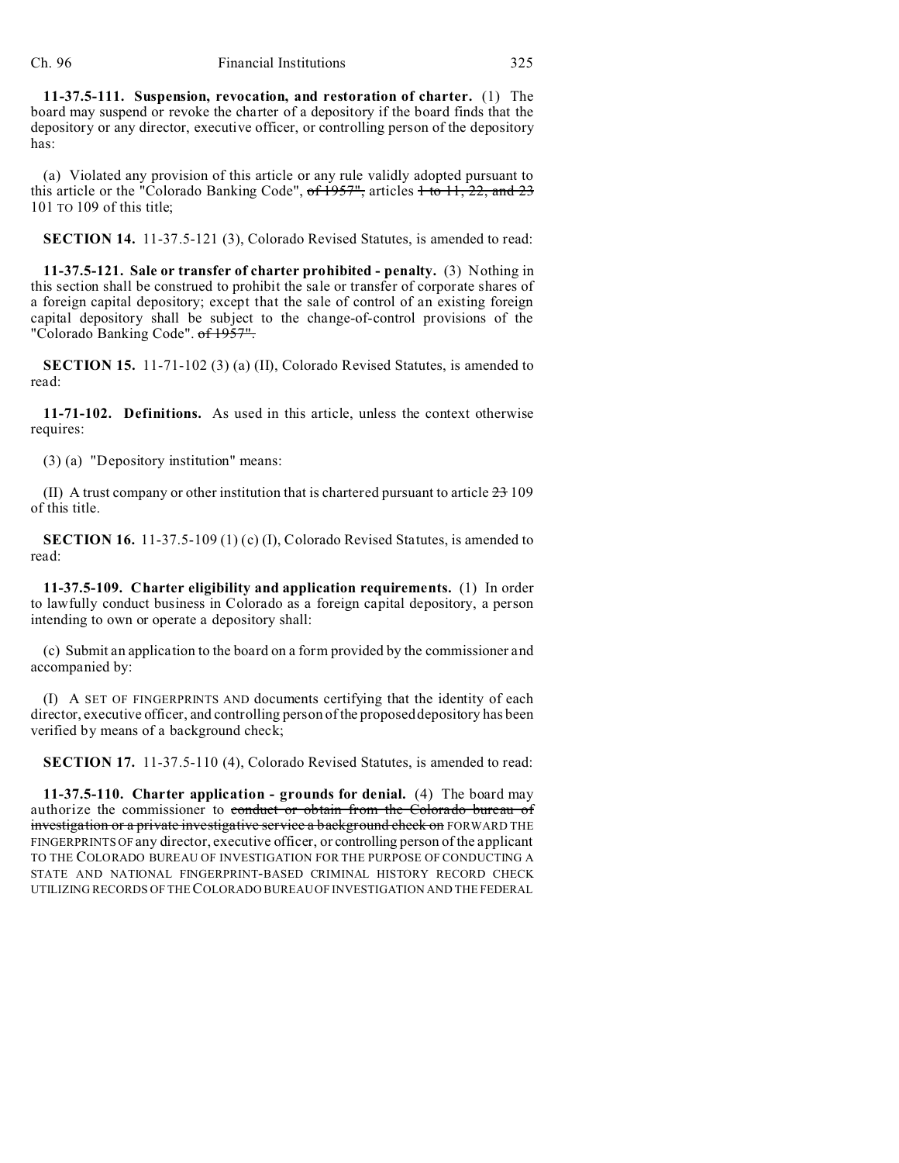**11-37.5-111. Suspension, revocation, and restoration of charter.** (1) The board may suspend or revoke the charter of a depository if the board finds that the depository or any director, executive officer, or controlling person of the depository has:

(a) Violated any provision of this article or any rule validly adopted pursuant to this article or the "Colorado Banking Code",  $of 1957"$ , articles  $1 to 11, 22, and 23$ 101 TO 109 of this title;

**SECTION 14.** 11-37.5-121 (3), Colorado Revised Statutes, is amended to read:

**11-37.5-121. Sale or transfer of charter prohibited - penalty.** (3) Nothing in this section shall be construed to prohibit the sale or transfer of corporate shares of a foreign capital depository; except that the sale of control of an existing foreign capital depository shall be subject to the change-of-control provisions of the "Colorado Banking Code". of 1957".

**SECTION 15.** 11-71-102 (3) (a) (II), Colorado Revised Statutes, is amended to read:

**11-71-102. Definitions.** As used in this article, unless the context otherwise requires:

(3) (a) "Depository institution" means:

(II) A trust company or other institution that is chartered pursuant to article  $23\,109$ of this title.

**SECTION 16.** 11-37.5-109 (1) (c) (I), Colorado Revised Statutes, is amended to read:

**11-37.5-109. Charter eligibility and application requirements.** (1) In order to lawfully conduct business in Colorado as a foreign capital depository, a person intending to own or operate a depository shall:

(c) Submit an application to the board on a form provided by the commissioner and accompanied by:

(I) A SET OF FINGERPRINTS AND documents certifying that the identity of each director, executive officer, and controlling person of the proposed depository has been verified by means of a background check;

**SECTION 17.** 11-37.5-110 (4), Colorado Revised Statutes, is amended to read:

**11-37.5-110. Charter application - grounds for denial.** (4) The board may authorize the commissioner to conduct or obtain from the Colorado bureau of investigation or a private investigative service a background check on FORWARD THE FINGERPRINTS OF any director, executive officer, or controlling person of the applicant TO THE COLORADO BUREAU OF INVESTIGATION FOR THE PURPOSE OF CONDUCTING A STATE AND NATIONAL FINGERPRINT-BASED CRIMINAL HISTORY RECORD CHECK UTILIZING RECORDS OF THE COLORADO BUREAU OF INVESTIGATION AND THE FEDERAL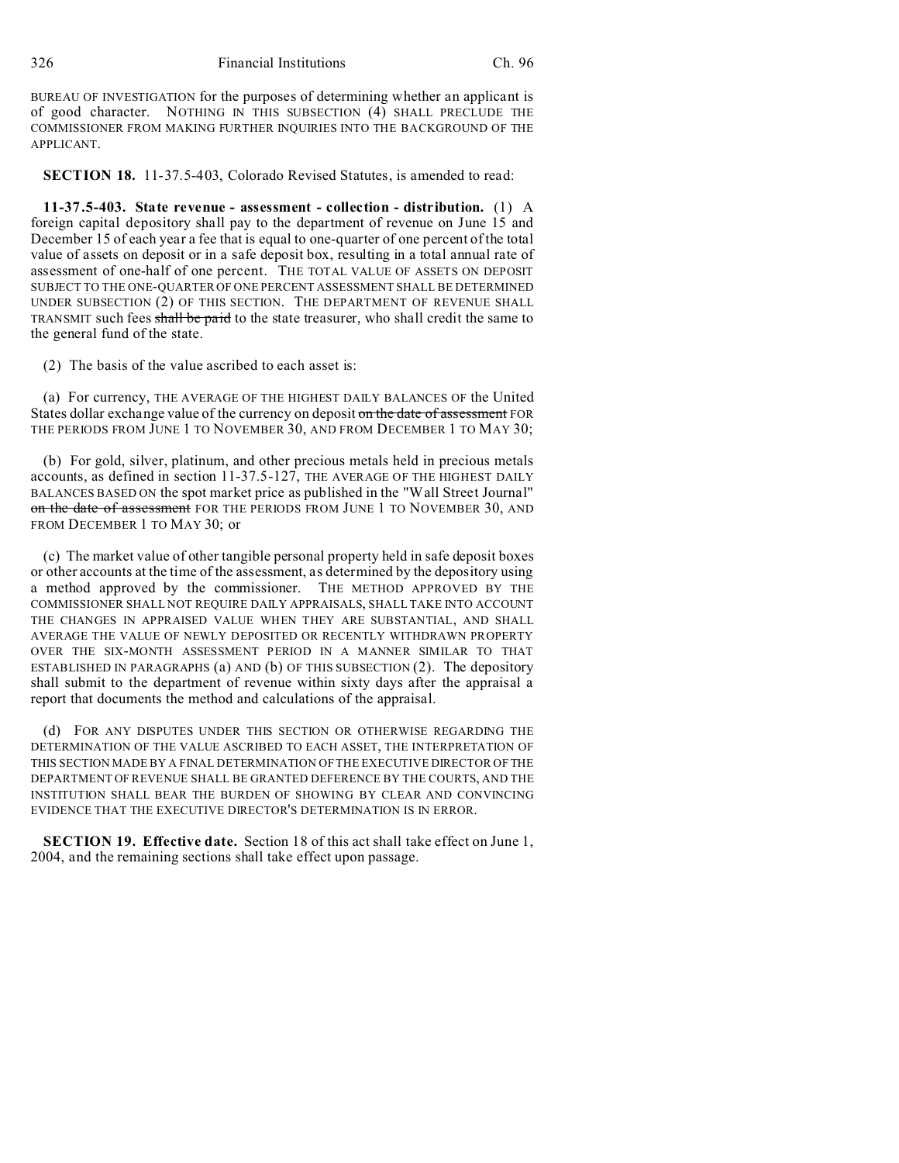BUREAU OF INVESTIGATION for the purposes of determining whether an applicant is of good character. NOTHING IN THIS SUBSECTION (4) SHALL PRECLUDE THE COMMISSIONER FROM MAKING FURTHER INQUIRIES INTO THE BACKGROUND OF THE APPLICANT.

**SECTION 18.** 11-37.5-403, Colorado Revised Statutes, is amended to read:

**11-37.5-403. State revenue - assessment - collection - distribution.** (1) A foreign capital depository shall pay to the department of revenue on June 15 and December 15 of each year a fee that is equal to one-quarter of one percent of the total value of assets on deposit or in a safe deposit box, resulting in a total annual rate of assessment of one-half of one percent. THE TOTAL VALUE OF ASSETS ON DEPOSIT SUBJECT TO THE ONE-QUARTER OF ONE PERCENT ASSESSMENT SHALL BE DETERMINED UNDER SUBSECTION (2) OF THIS SECTION. THE DEPARTMENT OF REVENUE SHALL TRANSMIT such fees shall be paid to the state treasurer, who shall credit the same to the general fund of the state.

(2) The basis of the value ascribed to each asset is:

(a) For currency, THE AVERAGE OF THE HIGHEST DAILY BALANCES OF the United States dollar exchange value of the currency on deposit on the date of assessment FOR THE PERIODS FROM JUNE 1 TO NOVEMBER 30, AND FROM DECEMBER 1 TO MAY 30;

(b) For gold, silver, platinum, and other precious metals held in precious metals accounts, as defined in section 11-37.5-127, THE AVERAGE OF THE HIGHEST DAILY BALANCES BASED ON the spot market price as published in the "Wall Street Journal" on the date of assessment FOR THE PERIODS FROM JUNE 1 TO NOVEMBER 30, AND FROM DECEMBER 1 TO MAY 30: or

(c) The market value of other tangible personal property held in safe deposit boxes or other accounts at the time of the assessment, as determined by the depository using a method approved by the commissioner. THE METHOD APPROVED BY THE COMMISSIONER SHALL NOT REQUIRE DAILY APPRAISALS, SHALL TAKE INTO ACCOUNT THE CHANGES IN APPRAISED VALUE WHEN THEY ARE SUBSTANTIAL, AND SHALL AVERAGE THE VALUE OF NEWLY DEPOSITED OR RECENTLY WITHDRAWN PROPERTY OVER THE SIX-MONTH ASSESSMENT PERIOD IN A MANNER SIMILAR TO THAT ESTABLISHED IN PARAGRAPHS (a) AND (b) OF THIS SUBSECTION (2). The depository shall submit to the department of revenue within sixty days after the appraisal a report that documents the method and calculations of the appraisal.

(d) FOR ANY DISPUTES UNDER THIS SECTION OR OTHERWISE REGARDING THE DETERMINATION OF THE VALUE ASCRIBED TO EACH ASSET, THE INTERPRETATION OF THIS SECTION MADE BY A FINAL DETERMINATION OF THE EXECUTIVE DIRECTOR OF THE DEPARTMENT OF REVENUE SHALL BE GRANTED DEFERENCE BY THE COURTS, AND THE INSTITUTION SHALL BEAR THE BURDEN OF SHOWING BY CLEAR AND CONVINCING EVIDENCE THAT THE EXECUTIVE DIRECTOR'S DETERMINATION IS IN ERROR.

**SECTION 19. Effective date.** Section 18 of this act shall take effect on June 1, 2004, and the remaining sections shall take effect upon passage.